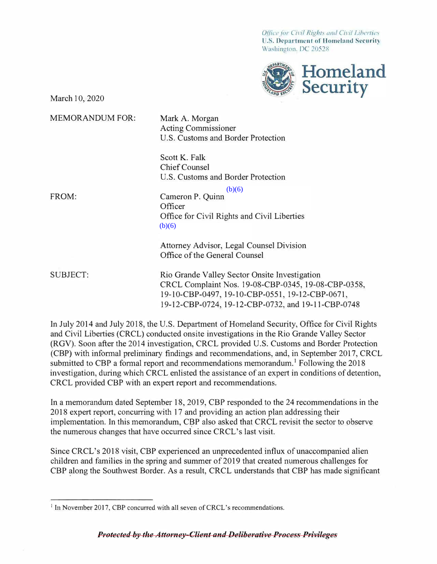*Office for Civil Rights and Civil Liberties* U.S. Department of Homeland Security Washington. DC 20528



March 10, 2020

MEMORANDUM FOR: FROM: SUBJECT: Rio Grande Valley Sector Onsite Investigation Mark A. Morgan Acting Commissioner U.S. Customs and Border Protection Scott K. Falk Chief Counsel U.S. Customs and Border Protection Cameron P. Quinn **Officer** Office for Civil Rights and Civil Liberties Attorney Advisor, Legal Counsel Division Office of the General Counsel CRCL Complaint Nos. 19-08-CBP-0345, 19-08-CBP-0358, 19-10-CBP-0497, 19-10-CBP-0551, 19-12-CBP-0671, 19-12-CBP-0724, 19-12-CBP-0732, and 19-11-CBP-0748  $(b)(6)$  $(b)(6)$ 

In July 2014 and July 2018, the U.S. Department of Homeland Security, Office for Civil Rights and Civil Liberties (CRCL) conducted onsite investigations in the Rio Grande Valley Sector (RGV). Soon after the 2014 investigation, CRCL provided U.S. Customs and Border Protection (CBP) with infonnal preliminary findings and recommendations, and, in September 2017, CRCL submitted to CBP a formal report and recommendations memorandum.<sup>1</sup> Following the 2018 investigation, during which CRCL enlisted the assistance of an expert in conditions of detention, CRCL provided CBP with an expert report and recommendations.

In a memorandum dated September 18, 2019, CBP responded to the 24 recommendations in the 2018 expert report, concurring with 17 and providing an action plan addressing their implementation. In this memorandum, CBP also asked that CRCL revisit the sector to observe the numerous changes that have occurred since CRCL's last visit.

Since CRCL's 2018 visit, CBP experienced an unprecedented influx of unaccompanied alien children and families in the spring and summer of 2019 that created numerous challenges for CBP along the Southwest Border. As a result, CRCL understands that CBP has made significant

<sup>&</sup>lt;sup>1</sup> In November 2017, CBP concurred with all seven of CRCL's recommendations.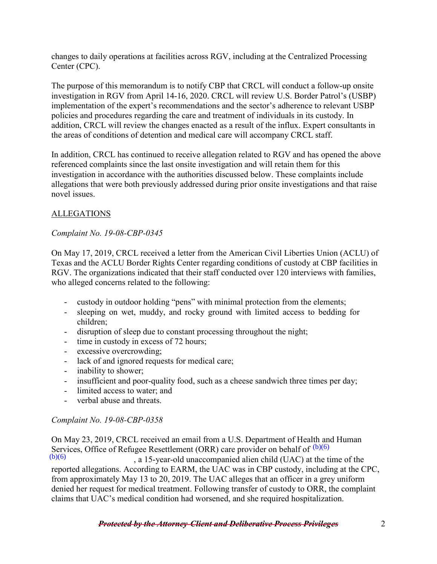changes to daily operations at facilities across RGV, including at the Centralized Processing Center (CPC).

The purpose of this memorandum is to notify CBP that CRCL will conduct a follow-up onsite investigation in RGV from April 14-16, 2020. CRCL will review U.S. Border Patrol's (USBP) implementation of the expert's recommendations and the sector's adherence to relevant USBP policies and procedures regarding the care and treatment of individuals in its custody. In addition, CRCL will review the changes enacted as a result of the influx. Expert consultants in the areas of conditions of detention and medical care will accompany CRCL staff.

In addition, CRCL has continued to receive allegation related to RGV and has opened the above referenced complaints since the last onsite investigation and will retain them for this investigation in accordance with the authorities discussed below. These complaints include allegations that were both previously addressed during prior onsite investigations and that raise novel issues.

## ALLEGATIONS

## *Complaint No. 19-08-CBP-0345*

On May 17, 2019, CRCL received a letter from the American Civil Liberties Union (ACLU) of Texas and the ACLU Border Rights Center regarding conditions of custody at CBP facilities in RGV. The organizations indicated that their staff conducted over 120 interviews with families, who alleged concerns related to the following:

- custody in outdoor holding "pens" with minimal protection from the elements;
- sleeping on wet, muddy, and rocky ground with limited access to bedding for children;
- disruption of sleep due to constant processing throughout the night;
- time in custody in excess of 72 hours;
- excessive overcrowding;
- lack of and ignored requests for medical care;
- inability to shower;
- insufficient and poor-quality food, such as a cheese sandwich three times per day;
- limited access to water; and
- verbal abuse and threats.

#### *Complaint No. 19-08-CBP-0358*

On May 23, 2019, CRCL received an email from a U.S. Department of Health and Human Services, Office of Refugee Resettlement (ORR) care provider on behalf of  $(b)(6)$  $(b)(6)$ 

, a 15-year-old unaccompanied alien child (UAC) at the time of the reported allegations. According to EARM, the UAC was in CBP custody, including at the CPC, from approximately May 13 to 20, 2019. The UAC alleges that an officer in a grey uniform denied her request for medical treatment. Following transfer of custody to ORR, the complaint claims that UAC's medical condition had worsened, and she required hospitalization.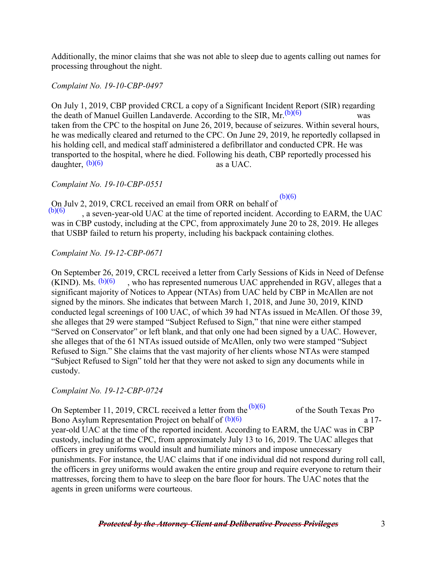Additionally, the minor claims that she was not able to sleep due to agents calling out names for processing throughout the night.

#### *Complaint No. 19-10-CBP-0497*

On July 1, 2019, CBP provided CRCL a copy of a Significant Incident Report (SIR) regarding the death of Manuel Guillen Landaverde. According to the SIR,  $Mr.$ <sup>(b)(6)</sup> was taken from the CPC to the hospital on June 26, 2019, because of seizures. Within several hours, he was medically cleared and returned to the CPC. On June 29, 2019, he reportedly collapsed in his holding cell, and medical staff administered a defibrillator and conducted CPR. He was transported to the hospital, where he died. Following his death, CBP reportedly processed his daughter,  $(b)(6)$  as a UAC.

*Complaint No. 19-10-CBP-0551* 

On July 2, 2019, CRCL received an email from ORR on behalf of

, a seven-year-old UAC at the time of reported incident. According to EARM, the UAC was in CBP custody, including at the CPC, from approximately June 20 to 28, 2019. He alleges that USBP failed to return his property, including his backpack containing clothes.  $(b)(6)$ 

 $(b)(6)$ 

*Complaint No. 19-12-CBP-0671* 

On September 26, 2019, CRCL received a letter from Carly Sessions of Kids in Need of Defense (KIND). Ms.  $(b)(6)$ , who has represented numerous UAC apprehended in RGV, alleges that a significant majority of Notices to Appear (NTAs) from UAC held by CBP in McAllen are not signed by the minors. She indicates that between March 1, 2018, and June 30, 2019, KIND conducted legal screenings of 100 UAC, of which 39 had NTAs issued in McAllen. Of those 39, she alleges that 29 were stamped "Subject Refused to Sign," that nine were either stamped "Served on Conservator" or left blank, and that only one had been signed by a UAC. However, she alleges that of the 61 NTAs issued outside of McAllen, only two were stamped "Subject Refused to Sign." She claims that the vast majority of her clients whose NTAs were stamped "Subject Refused to Sign" told her that they were not asked to sign any documents while in custody.

*Complaint No. 19-12-CBP-0724* 

On September 11, 2019, CRCL received a letter from the  $(b)(6)$  of the South Texas Pro a 17 and  $\frac{1}{2}$ Bono Asylum Representation Project on behalf of  $(b)(6)$  a 17year-old UAC at the time of the reported incident. According to EARM, the UAC was in CBP custody, including at the CPC, from approximately July 13 to 16, 2019. The UAC alleges that officers in grey uniforms would insult and humiliate minors and impose unnecessary punishments. For instance, the UAC claims that if one individual did not respond during roll call, the officers in grey uniforms would awaken the entire group and require everyone to return their mattresses, forcing them to have to sleep on the bare floor for hours. The UAC notes that the agents in green uniforms were courteous.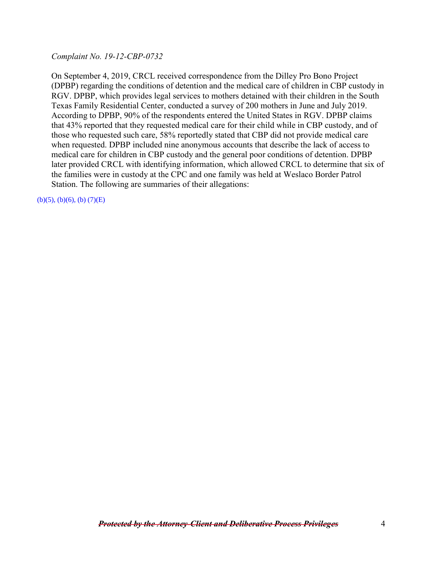*Complaint No. 19-12-CBP-0732* 

On September 4, 2019, CRCL received correspondence from the Dilley Pro Bono Project (DPBP) regarding the conditions of detention and the medical care of children in CBP custody in RGV. DPBP, which provides legal services to mothers detained with their children in the South Texas Family Residential Center, conducted a survey of 200 mothers in June and July 2019. According to DPBP, 90% of the respondents entered the United States in RGV. DPBP claims that 43% reported that they requested medical care for their child while in CBP custody, and of those who requested such care, 58% reportedly stated that CBP did not provide medical care when requested. DPBP included nine anonymous accounts that describe the lack of access to medical care for children in CBP custody and the general poor conditions of detention. DPBP later provided CRCL with identifying information, which allowed CRCL to determine that six of the families were in custody at the CPC and one family was held at Weslaco Border Patrol Station. The following are summaries of their allegations:

 $(b)(5)$ ,  $(b)(6)$ ,  $(b)(7)(E)$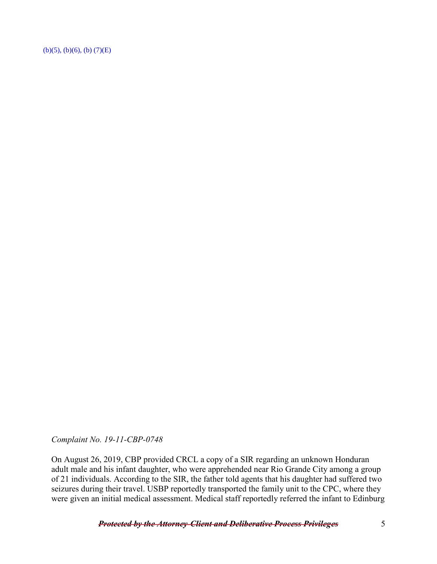$(b)(5), (b)(6), (b) (7)(E)$ 

*Complaint No. 19-11-CBP-0748* 

On August 26, 2019, CBP provided CRCL a copy of a SIR regarding an unknown Honduran adult male and his infant daughter, who were apprehended near Rio Grande City among a group of 21 individuals. According to the SIR, the father told agents that his daughter had suffered two seizures during their travel. USBP reportedly transported the family unit to the CPC, where they were given an initial medical assessment. Medical staff reportedly referred the infant to Edinburg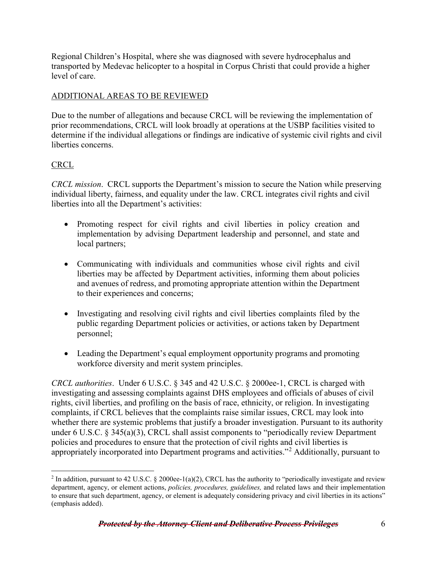Regional Children's Hospital, where she was diagnosed with severe hydrocephalus and transported by Medevac helicopter to a hospital in Corpus Christi that could provide a higher level of care.

## ADDITIONAL AREAS TO BE REVIEWED

Due to the number of allegations and because CRCL will be reviewing the implementation of prior recommendations, CRCL will look broadly at operations at the USBP facilities visited to determine if the individual allegations or findings are indicative of systemic civil rights and civil liberties concerns.

# **CRCL**

*CRCL mission*. CRCL supports the Department's mission to secure the Nation while preserving individual liberty, fairness, and equality under the law. CRCL integrates civil rights and civil liberties into all the Department's activities:

- Promoting respect for civil rights and civil liberties in policy creation and implementation by advising Department leadership and personnel, and state and local partners;
- Communicating with individuals and communities whose civil rights and civil liberties may be affected by Department activities, informing them about policies and avenues of redress, and promoting appropriate attention within the Department to their experiences and concerns;
- Investigating and resolving civil rights and civil liberties complaints filed by the public regarding Department policies or activities, or actions taken by Department personnel;
- Leading the Department's equal employment opportunity programs and promoting workforce diversity and merit system principles.

*CRCL authorities*. Under 6 U.S.C. § 345 and 42 U.S.C. § 2000ee-1, CRCL is charged with investigating and assessing complaints against DHS employees and officials of abuses of civil rights, civil liberties, and profiling on the basis of race, ethnicity, or religion. In investigating complaints, if CRCL believes that the complaints raise similar issues, CRCL may look into whether there are systemic problems that justify a broader investigation. Pursuant to its authority under 6 U.S.C. § 345(a)(3), CRCL shall assist components to "periodically review Department policies and procedures to ensure that the protection of civil rights and civil liberties is appropriately incorporated into Department programs and activities."<sup>[2](#page-5-0)</sup> Additionally, pursuant to

<span id="page-5-0"></span> $\overline{a}$ <sup>2</sup> In addition, pursuant to 42 U.S.C. § 2000ee-1(a)(2), CRCL has the authority to "periodically investigate and review department, agency, or element actions, *policies, procedures, guidelines,* and related laws and their implementation to ensure that such department, agency, or element is adequately considering privacy and civil liberties in its actions" (emphasis added).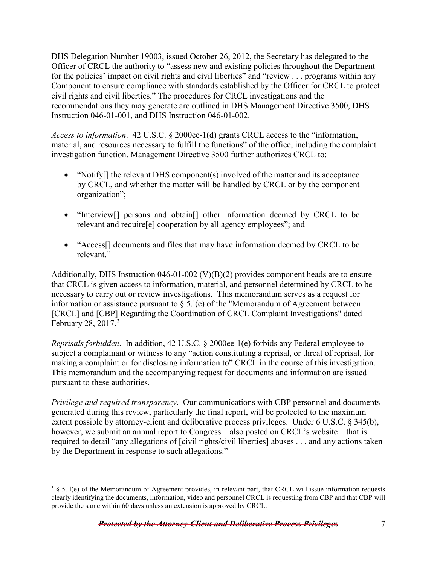DHS Delegation Number 19003, issued October 26, 2012, the Secretary has delegated to the Officer of CRCL the authority to "assess new and existing policies throughout the Department for the policies' impact on civil rights and civil liberties" and "review . . . programs within any Component to ensure compliance with standards established by the Officer for CRCL to protect civil rights and civil liberties." The procedures for CRCL investigations and the recommendations they may generate are outlined in DHS Management Directive 3500, DHS Instruction 046-01-001, and DHS Instruction 046-01-002.

*Access to information*. 42 U.S.C. § 2000ee-1(d) grants CRCL access to the "information, material, and resources necessary to fulfill the functions" of the office, including the complaint investigation function. Management Directive 3500 further authorizes CRCL to:

- "Notify<sup>[]</sup> the relevant DHS component(s) involved of the matter and its acceptance by CRCL, and whether the matter will be handled by CRCL or by the component organization";
- "Interview<sup>[]</sup> persons and obtain<sup>[]</sup> other information deemed by CRCL to be relevant and require[e] cooperation by all agency employees"; and
- "Access<sup>[]</sup> documents and files that may have information deemed by CRCL to be relevant."

Additionally, DHS Instruction 046-01-002 (V)(B)(2) provides component heads are to ensure that CRCL is given access to information, material, and personnel determined by CRCL to be necessary to carry out or review investigations. This memorandum serves as a request for information or assistance pursuant to § 5.l(e) of the "Memorandum of Agreement between [CRCL] and [CBP] Regarding the Coordination of CRCL Complaint Investigations" dated February 28, 2017.<sup>[3](#page-6-0)</sup>

*Reprisals forbidden*. In addition, 42 U.S.C. § 2000ee-1(e) forbids any Federal employee to subject a complainant or witness to any "action constituting a reprisal, or threat of reprisal, for making a complaint or for disclosing information to" CRCL in the course of this investigation. This memorandum and the accompanying request for documents and information are issued pursuant to these authorities.

*Privilege and required transparency*. Our communications with CBP personnel and documents generated during this review, particularly the final report, will be protected to the maximum extent possible by attorney-client and deliberative process privileges. Under 6 U.S.C. § 345(b), however, we submit an annual report to Congress—also posted on CRCL's website—that is required to detail "any allegations of [civil rights/civil liberties] abuses . . . and any actions taken by the Department in response to such allegations."

 $\overline{a}$ 

<span id="page-6-0"></span> $3 \S 5$ . l(e) of the Memorandum of Agreement provides, in relevant part, that CRCL will issue information requests clearly identifying the documents, information, video and personnel CRCL is requesting from CBP and that CBP will provide the same within 60 days unless an extension is approved by CRCL.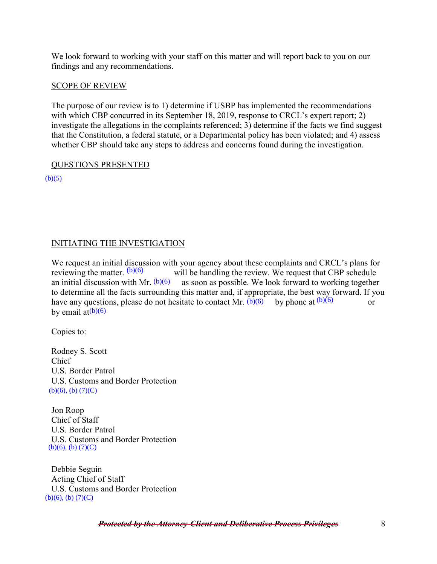We look forward to working with your staff on this matter and will report back to you on our findings and any recommendations.

#### SCOPE OF REVIEW

The purpose of our review is to 1) determine if USBP has implemented the recommendations with which CBP concurred in its September 18, 2019, response to CRCL's expert report; 2) investigate the allegations in the complaints referenced; 3) determine if the facts we find suggest that the Constitution, a federal statute, or a Departmental policy has been violated; and 4) assess whether CBP should take any steps to address and concerns found during the investigation.

#### QUESTIONS PRESENTED

 $(b)(5)$ 

#### INITIATING THE INVESTIGATION

We request an initial discussion with your agency about these complaints and CRCL's plans for reviewing the matter.  $(b)(6)$  will be handling the review. We request that CBP schedule an initial discussion with Mr.  $(b)(6)$  as soon as possible. We look forward to working together as soon as possible. We look forward to working together to determine all the facts surrounding this matter and, if appropriate, the best way forward. If you have any questions, please do not hesitate to contact Mr.  $(b)(6)$  by phone at  $(b)(6)$  or by email at<sup>(b)(6)</sup> reviewing the matter.  $(b)(6)$ 

Copies to:

Rodney S. Scott Chief U.S. Border Patrol U.S. Customs and Border Protection  $(b)(6)$ ,  $(b)$   $(7)(C)$ an initial discussion with Mr.  $(b)(6)$ <br>to determine all the facts surroundi<br>have any questions, please do not *b*<br>by email at( $b$ )( $6$ )<br>Copies to:<br>Rodney S. Scott<br>Chief<br>U.S. Border Patrol<br>U.S. Customs and Border Protectic<br>

Jon Roop Chief of Staff U.S. Border Patrol U.S. Customs and Border Protection  $(b)(6)$ ,  $(b)$   $(7)(C)$ 

Debbie Seguin Acting Chief of Staff U.S. Customs and Border Protection<br>(b)(6), (b)  $(7)(C)$